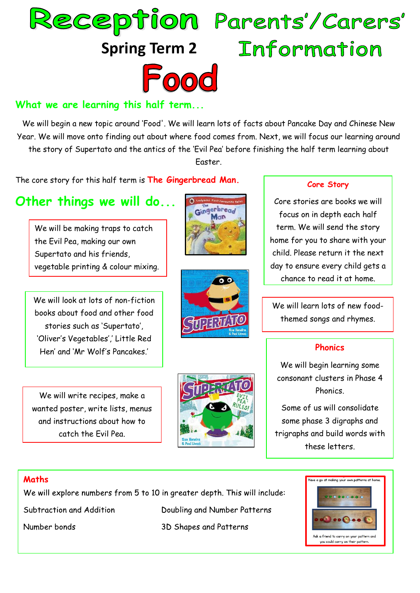



## **What we are learning this half term...**

We will begin a new topic around 'Food'. We will learn lots of facts about Pancake Day and Chinese New Year. We will move onto finding out about where food comes from. Next, we will focus our learning around the story of Supertato and the antics of the 'Evil Pea' before finishing the half term learning about Easter.

The core story for this half term is **The Gingerbread Man.**

# **Other things we will do...**

We will be making traps to catch the Evil Pea, making our own Supertato and his friends, vegetable printing & colour mixing.

We will look at lots of non-fiction books about food and other food stories such as 'Supertato', 'Oliver's Vegetables',' Little Red Hen' and 'Mr Wolf's Pancakes.'

We will write recipes, make a wanted poster, write lists, menus and instructions about how to catch the Evil Pea.



#### **Core Story**

Core stories are books we will focus on in depth each half term. We will send the story home for you to share with your child. Please return it the next day to ensure every child gets a chance to read it at home.

We will learn lots of new foodthemed songs and rhymes.

#### **Phonics**

We will begin learning some consonant clusters in Phase 4 Phonics.

Some of us will consolidate some phase 3 digraphs and trigraphs and build words with these letters.

### **Maths**

We will explore numbers from 5 to 10 in greater depth. This will include:

Subtraction and Addition

Number bonds

Doubling and Number Patterns 3D Shapes and Patterns





Gingerbread